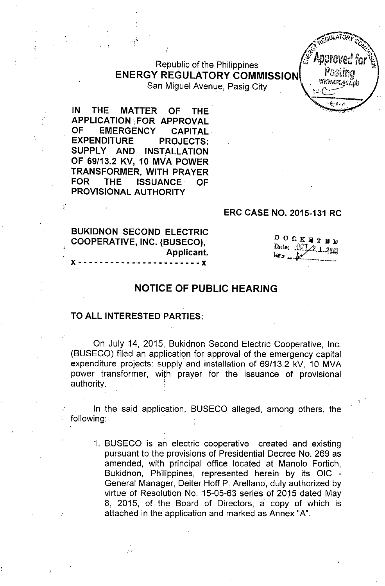# $R$ epublic of the Philippines  $F^{GSE}$ **ENERGY REGULATORY COMMISSION**  $F^{GSE}$

San Miguel Avenue, Pasig City

**IN THE MATTER OF THE APPLICATION! FOR APPROVAL OF EMERGENCY CAPITAL. EXPENDITURE PROJECTS: SUPPLY AND INSTALLATION OF** 69/13.2 *KV,* **10 MVA POWER TRANSFORMER, WITH PRAYER FOR THE ISSUANCE. OF PROVISIONAL AUTHORITY**

, ,

#### **ERC CASE NO. 2015-131 RC**

**BUKIDNON SECOND ELECTRIC COOPERATIVE, INC. (BUSECO), Applicant.**  $- - - x$ 

.,',

 $\begin{array}{ccccccccccccc}\nD & O & C & K & H & T & H & W\n\end{array}$ Date:  $\frac{\sqrt{E} \sum_{i=1}^{n} a_i B_i}{2m}$ 

**REGULATORY CO**  $\mathcal{C}$  , we have  $\mathcal{C}$  $\mathcal{L}$  .  $\mathcal{L}$ 

-"- .'~"

#### **NOTICE OF PUBLIC HEARING**

#### **TO ALL INTERESTED PARTIES:**

On July 14, 2015, Bukidnon Second Electric Cooperative, Inc. (BUSECO) filed an application for approval of the emergency capital expenditure projects: supply and installation of 69/13.2 kV, 10 MVA power transformer, with prayer for the issuance of provisional authority.

In the said application, BUSECO alleged, among others, the following:

1. BUSECO is an electric cooperative created and existing pursuant to the provisions of Presidential Decree No. 269 as amended, with principal office located at Manolo Fortich, Bukidnon, Philippines, represented herein by its OIC - General Manager, Deiter Hoff P. Arellano, duly authorized by virtue of Resolution No. 15-05-63 series of 2015 dated May 8, 2015, of the Board of Directors, a copy of which is attached in the application and marked as Annex "A".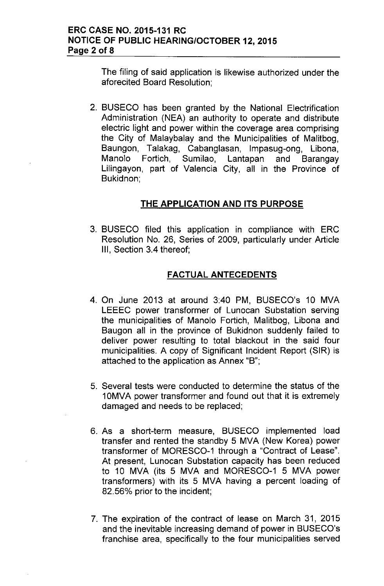The filing of said application is likewise authorized under the aforecited Board Resolution;

2. BUSECO has been granted by the National Electrification Administration (NEA) an authority to operate and distribute electric light and power within the coverage area comprising the City of Malaybalay and the Municipalities of Malitbog, Baungon, Talakag, Cabanglasan, Impasug-ong, Libona,<br>Manolo Fortich, Sumilao, Lantapan and Barangay Manolo Fortich, Sumilao, Lantapan and Barangay Lilingayon, part of Valencia City, all in the Province of Bukidnon;

# **THE APPLICATION AND ITS PURPOSE**

3. BUSECO filed this application in compliance with ERC Resolution No. 26, Series of 2009, particularly under Article III, Section 3.4 thereof;

# FACTUAL ANTECEDENTS

- 4. On June 2013 at around 3:40 PM, BUSECO's 10 MVA LEEEC power transformer of Lunocan Substation serving the municipalities of Manolo Fortich, Malitbog, Libona and Baugon all in the province of Bukidnon suddenly failed to deliver power resulting to total blackout in the said four municipalities. A copy of Significant Incident Report (SIR) is attached to the application as Annex "B";
- 5. Several tests were conducted to determine the status of the 10MVA power transformer and found out that it is extremely damaged and needs to be replaced;
- 6. As a short-term measure, BUSECO implemented load transfer and rented the standby 5 MVA (New Korea) power transformer of MORESCO-1 through a "Contract of Lease", At present, Lunocan Substation capacity has been reduced to 10 MVA (its 5 MVA and MORESCO-1 5 MVA power transformers) with its 5 MVA having a percent loading of 82.56% prior to the incident;
- 7. The expiration of the contract of lease on March 31, 2015 and the inevitable increasing demand of power in BUSECO's franchise area, specifically to the four municipalities served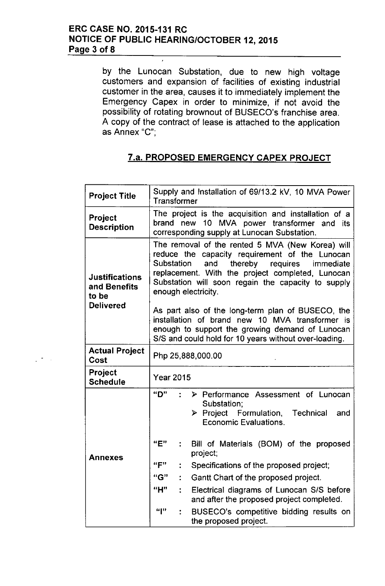by the Lunocan Substation, due to new high voltage customers and expansion of facilities of existing industrial customer in the area, causes it to immediately implement the Emergency Capex in order to minimize, if not avoid the possibility of rotating brownout of BUSECO's franchise area. A copy of the contract of lease is attached to the application as Annex "C'",

# 7.a. PROPOSED EMERGENCY CAPEX PROJECT

| <b>Project Title</b>                           | Supply and Installation of 69/13.2 kV, 10 MVA Power<br><b>Transformer</b>                                                                                                                                                                                                              |                                                                                                                               |  |  |  |  |  |  |  |
|------------------------------------------------|----------------------------------------------------------------------------------------------------------------------------------------------------------------------------------------------------------------------------------------------------------------------------------------|-------------------------------------------------------------------------------------------------------------------------------|--|--|--|--|--|--|--|
| <b>Project</b><br><b>Description</b>           | The project is the acquisition and installation of a<br>brand new 10 MVA power transformer and its<br>corresponding supply at Lunocan Substation.                                                                                                                                      |                                                                                                                               |  |  |  |  |  |  |  |
| <b>Justifications</b><br>and Benefits<br>to be | The removal of the rented 5 MVA (New Korea) will<br>reduce the capacity requirement of the Lunocan<br>Substation and<br>thereby<br>requires immediate<br>replacement. With the project completed, Lunocan<br>Substation will soon regain the capacity to supply<br>enough electricity. |                                                                                                                               |  |  |  |  |  |  |  |
| <b>Delivered</b>                               | As part also of the long-term plan of BUSECO, the<br>installation of brand new 10 MVA transformer is<br>enough to support the growing demand of Lunocan<br>S/S and could hold for 10 years without over-loading.                                                                       |                                                                                                                               |  |  |  |  |  |  |  |
| <b>Actual Project</b><br>Cost                  | Php 25,888,000.00                                                                                                                                                                                                                                                                      |                                                                                                                               |  |  |  |  |  |  |  |
| Project<br><b>Schedule</b>                     | <b>Year 2015</b>                                                                                                                                                                                                                                                                       |                                                                                                                               |  |  |  |  |  |  |  |
|                                                | "D"                                                                                                                                                                                                                                                                                    | > Performance Assessment of Lunocan<br>Substation;<br>> Project Formulation, Technical<br>and<br><b>Economic Evaluations.</b> |  |  |  |  |  |  |  |
| <b>Annexes</b>                                 | "E"                                                                                                                                                                                                                                                                                    | Bill of Materials (BOM) of the proposed<br>project;                                                                           |  |  |  |  |  |  |  |
|                                                | "F"                                                                                                                                                                                                                                                                                    | Specifications of the proposed project;                                                                                       |  |  |  |  |  |  |  |
|                                                | "G"                                                                                                                                                                                                                                                                                    | Gantt Chart of the proposed project.                                                                                          |  |  |  |  |  |  |  |
|                                                | "H"                                                                                                                                                                                                                                                                                    | Electrical diagrams of Lunocan S/S before<br>and after the proposed project completed.                                        |  |  |  |  |  |  |  |
|                                                | "["                                                                                                                                                                                                                                                                                    | BUSECO's competitive bidding results on<br>the proposed project.                                                              |  |  |  |  |  |  |  |

 $\sim$   $\sim$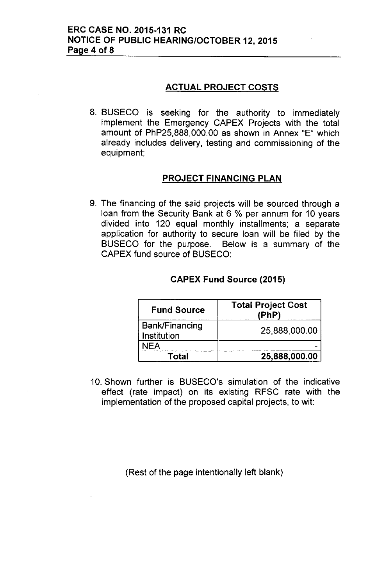# **ACTUAL PROJECT COSTS**

8. BUSECO is seeking for the authority to immediately implement the Emergency CAPEX Projects with the total amount of PhP25,888,000.00 as shown in Annex "E" which already includes delivery, testing and commissioning of the equipment;

## **PROJECT FINANCING PLAN**

9. The financing of the said projects will be sourced through a loan from the Security Bank at 6 % per annum for 10 years divided into 120 equal monthly installments; a separate application for authority to secure loan will be filed by the BUSECO for the purpose. Below is a summary of the CAPEX fund source of BUSECO:

| <b>Fund Source</b>            | <b>Total Project Cost</b><br>(PhP) |  |  |  |  |
|-------------------------------|------------------------------------|--|--|--|--|
| Bank/Financing<br>Institution | 25,888,000.00                      |  |  |  |  |
| NEA                           |                                    |  |  |  |  |
| Total                         | 25,888,000.00                      |  |  |  |  |

#### **CAPEX Fund Source (2015)**

10. Shown further is BUSECO's simulation of the indicative effect (rate impact) on its existing RFSC rate with the implementation of the proposed capital projects, to wit:

(Rest of the page intentionally left blank)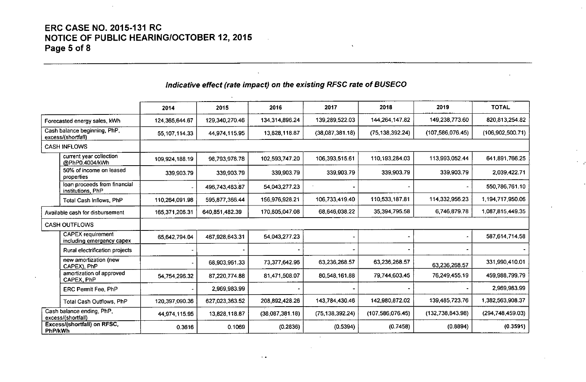# **ERC CASE NO. 2015-131 RC NOTICE OF PUBLIC HEARING/OCTOBER 12, 2015 Page 5 of 8**

# *Indicative effect (rate impact) on the existing RFSC rate of BUSECO*

|                                                    |                                                       | 2014           | 2015           | 2016            | 2017              | 2018               | 2019               | <b>TOTAL</b>       |
|----------------------------------------------------|-------------------------------------------------------|----------------|----------------|-----------------|-------------------|--------------------|--------------------|--------------------|
| Forecasted energy sales, kWh                       |                                                       | 124,365,644.67 | 129,340,270.46 | 134.314,896.24  | 139,289,522.03    | 144,264,147.82     | 149,238,773.60     | 820,813,254.82     |
| Cash balance beginning, PhP.<br>excess/(shortfall) |                                                       | 55,107,114.33  | 44,974,115.95  | 13.828,118.87   | (38,087,381.18)   | (75, 138, 392.24)  | (107, 586, 076.45) | (106, 902, 500.71) |
|                                                    | <b>CASH INFLOWS</b>                                   |                |                |                 |                   |                    |                    |                    |
|                                                    | current year collection<br>@PhP0.4004/kWh             | 109,924,188.19 | 98,793,978.78  | 102,593,747.20  | 106,393,515.61    | 110,193,284.03     | 113,993,052.44     | 641 891 766 25     |
|                                                    | 50% of income on leased<br>properties                 | 339,903.79     | 339,903.79     | 339,903.79      | 339,903.79        | 339,903.79         | 339,903.79         | 2.039.422.71       |
|                                                    | loan proceeds from financial<br>institutions, PhP     |                | 496,743,483.87 | 54 043 277 23   |                   |                    |                    | 550 786 761 10     |
|                                                    | Total Cash Inflows, PhP                               | 110,264,091.98 | 595,877,366.44 | 156,976,928.21  | 106,733,419.40    | 110,533,187.81     | 114,332,956.23     | 1.194.717.950.06   |
| Available cash for disbursement                    |                                                       | 165,371,206.31 | 640,851,482.39 | 170,805,047.08  | 68,646,038.22     | 35,394,795.58      | 6,746,879.78       | 1.087,815,449.35   |
|                                                    | <b>CASH OUTFLOWS</b>                                  |                |                |                 |                   |                    |                    |                    |
|                                                    | <b>CAPEX</b> requirement<br>including emergency capex | 65,642,794.04  | 467,928,643.31 | 54.043,277.23   |                   |                    |                    | 587.614.714.58     |
|                                                    | Rural electrification projects                        |                |                |                 |                   |                    |                    |                    |
|                                                    | new amortization (new<br>CAPEX) PhP                   |                | 68,903,961.33  | 73.377.642.96   | 63,236,268.57     | 63,236,268.57      | 63.236,268.57      | 331,990,410.01     |
|                                                    | amortization of approved<br>CAPEX, PhP                | 54,754,296.32  | 87,220,774.88  | 81,471,508.07   | 80,548,161.88     | 79,744,603.45      | 76,249,455.19      | 459,988,799.79     |
|                                                    | ERC Permit Fee, PhP                                   |                | 2,969,983.99   |                 |                   |                    |                    | 2.969,983.99       |
|                                                    | Total Cash Outflows, PhP                              | 120,397,090.36 | 627,023,363.52 | 208 892 428 26  | 143,784,430.46    | 142,980,872.02     | 139,485,723.76     | 1 382 563 908 37   |
| Cash balance ending, PhP,<br>excess/(shortfall)    |                                                       | 44,974,115.95  | 13,828,118.87  | (38,087,381.18) | (75, 138, 392.24) | (107, 586, 076.45) | (132, 738, 843.98) | (294, 748, 459.03) |
| PhP/kWh                                            | Excess/(shortfall) on RFSC,                           | 0.3616         | 0.1069         | (0.2836)        | (0.5394)          | (0.7458)           | (0.8894)           | (0.3591)           |

 $\ddot{\phantom{1}}$ 

 $\sim$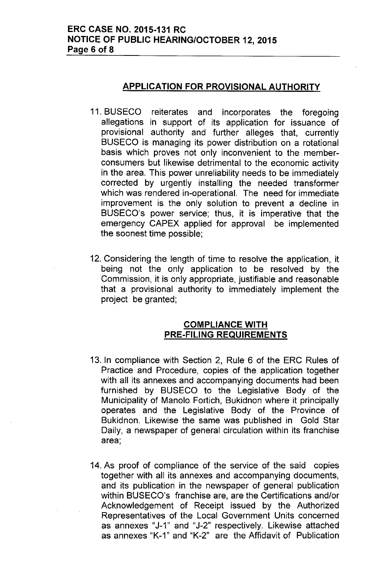## APPLICATION FOR PROVISIONAL AUTHORITY

- 11. BUSECO reiterates and incorporates the foregoing allegations in support of its application for issuance of provisional authority and further alleges that, currently BUSECO is managing its power distribution on a rotational basis which proves not only inconvenient to the memberconsumers but likewise detrimental to the economic activity in the area. This power unreliability needs to be immediately corrected by urgently installing the needed transformer which was rendered in-operational. The need for immediate improvement is the only solution to prevent a decline in BUSECO's power service; thus, it is imperative that the emergency CAPEX applied for approval be implemented the soonest time possible;
- 12. Considering the length of time to resolve the application, it being not the only application to be resolved by the Commission, it is only appropriate, justifiable and reasonable that a provisional authority to immediately implement the project be granted;

## COMPLIANCE WITH PRE-FILING REQUIREMENTS

- 13. In compliance with Section 2, Rule 6 of the ERC Rules of Practice and Procedure, copies of the application together with all its annexes and accompanying documents had been furnished by BUSECO to the Legislative Body of the Municipality of Manolo Fortich, Bukidnon where it principally operates and the Legislative Body of the Province of Bukidnon. Likewise the same was published in Gold Star Daily, a newspaper of general circulation within its franchise area;
- 14. As proof of compliance of the service of the said copies together with all its annexes and accompanying documents, and its publication in the newspaper of general publication within BUSECO's franchise are, are the Certifications and/or Acknowledgement of Receipt issued by the Authorized Representatives of the Local Government Units concerned as annexes "J-1" and "J-2" respectively. Likewise attached as annexes "K-1" and "K-2" are the Affidavit of Publication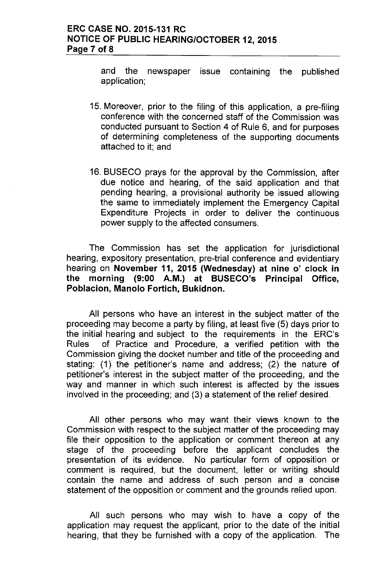and the newspaper issue containing the published application;

- 15. Moreover, prior to the filing of this application, a pre-filing conference with the concerned staff of the Commission was conducted pursuant to Section 4 of Rule 6, and for purposes of determining completeness of the supporting documents attached to it; and
- 16. BUSECO prays for the approval by the Commission, after due notice and hearing, of the said application and that pending hearing, a provisional authority be issued allowing the same to immediately implement the Emergency Capital Expenditure Projects in order to deliver the continuous power supply to the affected consumers.

The Commission has set the application for jurisdictional hearing, expository presentation, pre-trial conference and evidentiary hearing on November 11, 2015 (Wednesday) at nine o' clock in the morning (9:00 A.M.) at BUSECO's Principal Office, Poblacion, Manolo Fortich, Bukidnon.

All persons who have an interest in the subject matter of the proceeding may become a party by filing, at least five (5) days prior to the initial hearing and subject to the requirements in the ERC's Rules of Practice and Procedure, a verified petition with the Commission giving the docket number and title of the proceeding and stating: (1) the petitioner's name and address; (2) the nature of petitioner's interest in the subject matter of the proceeding, and the way and manner in which such interest is affected by the issues involved in the proceeding; and (3) a statement of the relief desired.

All other persons who may want their views known to the Commission with respect to the subject matter of the proceeding may file their opposition to the application or comment thereon at any stage of the proceeding before the applicant concludes the presentation of its evidence. No particular form of opposition or comment is required, but the document, letter or writing should contain the name and address of such person and a concise statement of the opposition or comment and the grounds relied upon.

All such persons who may wish to have a copy of the application may request the applicant, prior to the date of the initial hearing, that they be furnished with a copy of the application. The